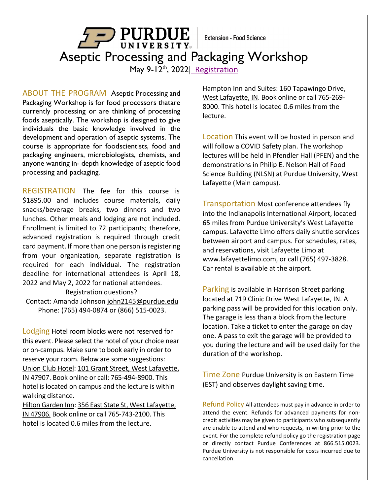**Extension - Food Science** 

**FURDUE** Aseptic Processing and Packaging Workshop

May 9-12<sup>th</sup>, 2022| [Registration](https://ag.purdue.edu/foodsci/mishralab/workshops/)

ABOUT THE PROGRAM Aseptic Processing and Packaging Workshop is for food processors thatare currently processing or are thinking of processing foods aseptically. The workshop is designed to give individuals the basic knowledge involved in the development and operation of aseptic systems. The course is appropriate for foodscientists, food and packaging engineers, microbiologists, chemists, and anyone wanting in- depth knowledge of aseptic food processing and packaging.

REGISTRATION The fee for this course is \$1895.00 and includes course materials, daily snacks/beverage breaks, two dinners and two lunches. Other meals and lodging are not included. Enrollment is limited to 72 participants; therefore, advanced registration is required through credit card payment. If more than one person is registering from your organization, separate registration is required for each individual. The registration deadline for international attendees is April 18, 2022 and May 2, 2022 for national attendees.

Registration questions? Contact: Amanda Johnson [john2145@purdue.edu](mailto:john2145@purdue.edu) Phone: (765) 494-0874 or (866) 515-0023.

Lodging Hotel room blocks were not reserved for this event. Please select the hotel of your choice near or on-campus. Make sure to book early in order to reserve your room. Below are some suggestions: [Union Club Hotel:](https://union-purdue.webhotel.microsdc.us/bp/search_rooms.cmd?WT.ic_id=MainBookNow&_ga=2.15884342.1669171619.1637612600-966797748.1637612600&adobe_mc=MCMID%3D30286554336873446704078968804039130542%7CMCORGID%3D1C1238B352785AA60A490D4C%2540AdobeOrg%7CTS%3D1637612629) 101 Grant Street, West Lafayette, IN 47907. Book online or call: 765-494-8900. This hotel is located on campus and the lecture is within walking distance.

Hilton [Garden](https://www.hilton.com/en/hotels/lafwlgi-hilton-garden-inn-west-lafayette-wabash-landing/?SEO_id=GMB-GI-LAFWLGI&y_source=1_MjA4MzgxNy03MTUtbG9jYXRpb24uZ29vZ2xlX3dlYnNpdGVfb3ZlcnJpZGU%3D) Inn: 356 East State St, West Lafayette, IN 47906. Book online or call 765-743-2100. This hotel is located 0.6 miles from the lecture.

[Hampton Inn and Suites:](https://www.hilton.com/en/book/reservation/rooms/?ctyhocn=LAFWEHX&arrivalDate=2021-11-24&departureDate=2021-11-25&room1NumAdults=2&inputModule=HOTEL_SEARCH&viewPackagesAndPromotionsRate=true&WT.mc_id=zLADA0US1HX2OLX3GGL4ADVMETA5LF6_LAFWEHX7_129231037_&hmGUID=7382e585-c05c-4131-af41-294cb954c6e6) 160 Tapawingo Drive, West Lafayette, IN. Book online or call 765-269- 8000. This hotel is located 0.6 miles from the lecture.

Location This event will be hosted in person and will follow a COVID Safety plan. The workshop lectures will be held in Pfendler Hall (PFEN) and the demonstrations in Philip E. Nelson Hall of Food Science Building (NLSN) at Purdue University, West Lafayette (Main campus).

Transportation Most conference attendees fly into the Indianapolis International Airport, located 65 miles from Purdue University's West Lafayette campus. Lafayette Limo offers daily shuttle services between airport and campus. For schedules, rates, and reservations, visit Lafayette Limo at [www.lafayettelimo.com,](http://www.lafayettelimo.com/) or call (765) 497-3828. Car rental is available at the airport.

Parking is available in Harrison Street parking located at 719 Clinic Drive West Lafayette, IN. A parking pass will be provided for this location only. The garage is less than a block from the lecture location. Take a ticket to enter the garage on day one. A pass to exit the garage will be provided to you during the lecture and will be used daily for the duration of the workshop.

Time Zone Purdue University is on Eastern Time (EST) and observes daylight saving time.

Refund Policy All attendees must pay in advance in order to attend the event. Refunds for advanced payments for noncredit activities may be given to participants who subsequently are unable to attend and who requests, in writing prior to the event. For the complete refund policy go the registration page or directly contact Purdue Conferences at 866.515.0023. Purdue University is not responsible for costs incurred due to cancellation.